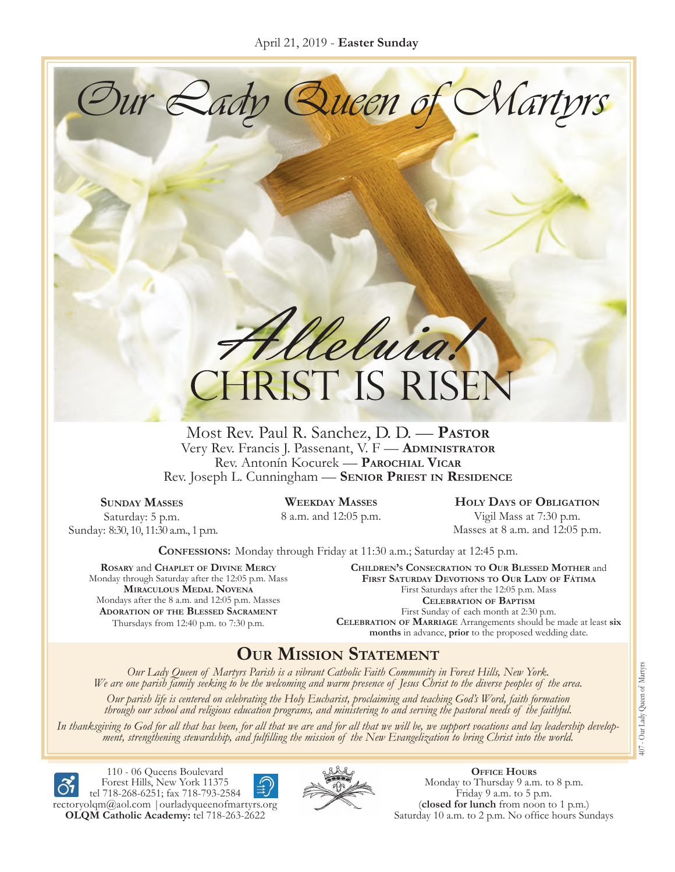Our Lady Queen of Martyrs

Heluig. **CHRIST IS RISE** 

Most Rev. Paul R. Sanchez, D. D. — **Pastor** Very Rev. Francis J. Passenant, V. F — **Administrator** Rev. Antonín Kocurek — **Parochial Vicar** Rev. Joseph L. Cunningham — **Senior Priest in Residence**

**Sunday Masses** Saturday: 5 p.m. Sunday: 8:30, 10, 11:30 a.m., 1 p.m. **Weekday Masses**

8 a.m. and 12:05 p.m.

**Holy Days of Obligation**

Vigil Mass at 7:30 p.m. Masses at 8 a.m. and 12:05 p.m.

**Confessions:** Monday through Friday at 11:30 a.m.; Saturday at 12:45 p.m.

**Rosary** and **Chaplet of Divine Mercy** Monday through Saturday after the 12:05 p.m. Mass **Miraculous Medal Novena** Mondays after the 8 a.m. and 12:05 p.m. Masses **Adoration of the Blessed Sacrament** Thursdays from 12:40 p.m. to 7:30 p.m.

**Children's Consecration to Our Blessed Mother** and **First Saturday Devotions to Our Lady of Fátima** First Saturdays after the 12:05 p.m. Mass **Celebration of Baptism** First Sunday of each month at 2:30 p.m. **Celebration of Marriage** Arrangements should be made at least **six months** in advance, **prior** to the proposed wedding date.

## **Our Mission Statement**

Our Lady Queen of Martyrs Parish is a vibrant Catholic Faith Community in Forest Hills, New York.<br>We are one parish family seeking to be the welcoming and warm presence of Jesus Christ to the diverse peoples of the area.

*Our parish life is centered on celebrating the Holy Eucharist, proclaiming and teaching God's Word, faith formation through our school and religious education programs, and ministering to and serving the pastoral needs of the faithful.*

In thanksgiving to God for all that has been, for all that we are and for all that we will be, we support vocations and lay leadership develop-<br>ment, strengthening stewardship, and fulfilling the mission of the New Evangel



110 - 06 Queens Boulevard Forest Hills, New York 11375 tel 718-268-6251; fax 718-793-2584





**Office Hours** Monday to Thursday 9 a.m. to 8 p.m. Friday 9 a.m. to 5 p.m. (**closed for lunch** from noon to 1 p.m.) Saturday 10 a.m. to 2 p.m. No office hours Sundays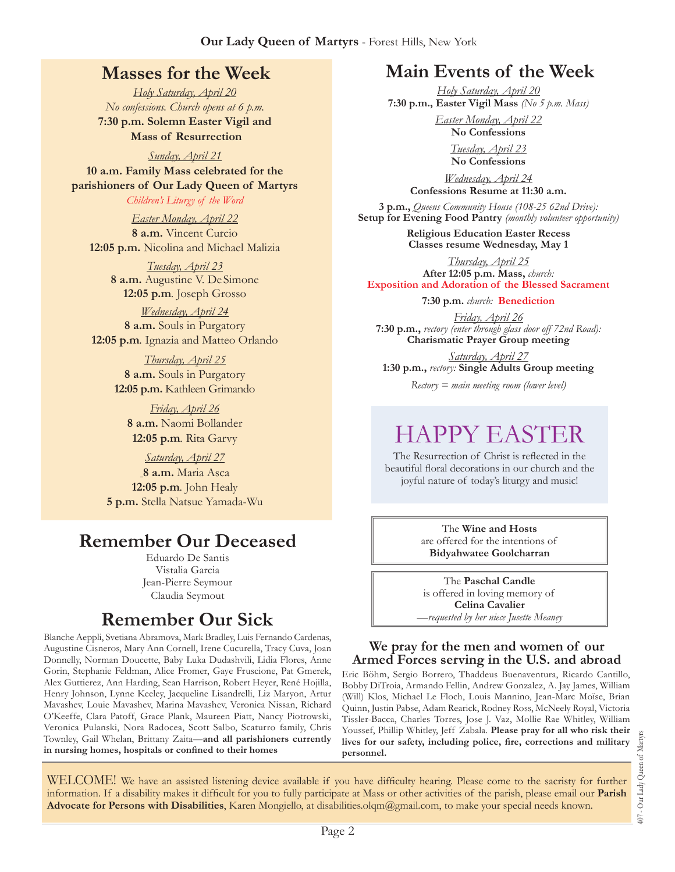## **Masses for the Week**

*Holy Saturday, April 20 No confessions. Church opens at 6 p.m.* **7:30 p.m. Solemn Easter Vigil and Mass of Resurrection**

*Sunday, April 21* **10 a.m. Family Mass celebrated for the parishioners of Our Lady Queen of Martyrs**

*Children's Liturgy of the Word* 

*Easter Monday, April 22* **8 a.m.** Vincent Curcio **12:05 p.m.** Nicolina and Michael Malizia

> *Tuesday, April 23* **8 a.m.** Augustine V. De Simone **12:05 p.m***.* Joseph Grosso

*Wednesday, April 24* **8 a.m.** Souls in Purgatory **12:05 p.m***.* Ignazia and Matteo Orlando

> *Thursday, April 25* **8 a.m.** Souls in Purgatory **12:05 p.m.** Kathleen Grimando

*Friday, April 26* **8 a.m.** Naomi Bollander **12:05 p.m***.* Rita Garvy

*Saturday, April 27* **8 a.m.** Maria Asca **12:05 p.m***.* John Healy **5 p.m.** Stella Natsue Yamada-Wu

## **Remember Our Deceased**

Eduardo De Santis Vistalia Garcia Jean-Pierre Seymour Claudia Seymout

## **Remember Our Sick**

Blanche Aeppli, Svetiana Abramova, Mark Bradley, Luis Fernando Cardenas, Augustine Cisneros, Mary Ann Cornell, Irene Cucurella, Tracy Cuva, Joan Donnelly, Norman Doucette, Baby Luka Dudashvili, Lidia Flores, Anne Gorin, Stephanie Feldman, Alice Fromer, Gaye Fruscione, Pat Gmerek, Alex Guttierez, Ann Harding, Sean Harrison, Robert Heyer, René Hojilla, Henry Johnson, Lynne Keeley, Jacqueline Lisandrelli, Liz Maryon, Artur Mavashev, Louie Mavashev, Marina Mavashev, Veronica Nissan, Richard O'Keeffe, Clara Patoff, Grace Plank, Maureen Piatt, Nancy Piotrowski, Veronica Pulanski, Nora Radocea, Scott Salbo, Scaturro family, Chris Townley, Gail Whelan, Brittany Zaita—**and all parishioners currently in nursing homes, hospitals or confined to their homes**

## **Main Events of the Week**

*Holy Saturday, April 20* **7:30 p.m., Easter Vigil Mass** *(No 5 p.m. Mass)*

> *Easter Monday, April 22* **No Confessions**

> > *Tuesday, April 23* **No Confessions**

*Wednesday, April 24* **Confessions Resume at 11:30 a.m.**

**3 p.m.,** *Queens Community House (108-25 62nd Drive):*  **Setup for Evening Food Pantry** *(monthly volunteer opportunity)*

> **Religious Education Easter Recess Classes resume Wednesday, May 1**

*Thursday, April 25* **After 12:05 p.m. Mass,** *church:*  **Exposition and Adoration of the Blessed Sacrament**

**7:30 p.m.** *church:* **Benediction**

*Friday, April 26* **7:30 p.m.,** *rectory (enter through glass door off 72nd Road):* **Charismatic Prayer Group meeting**

*Saturday, April 27* **1:30 p.m.,** *rectory:* **Single Adults Group meeting**

*Rectory = main meeting room (lower level)*

# Happy Easter

The Resurrection of Christ is reflected in the beautiful floral decorations in our church and the joyful nature of today's liturgy and music!

> The **Wine and Hosts** are offered for the intentions of **Bidyahwatee Goolcharran**

The **Paschal Candle**  is offered in loving memory of **Celina Cavalier** —*requested by her niece Jusette Meaney*

#### **We pray for the men and women of our Armed Forces serving in the U.S. and abroad**

Eric Böhm, Sergio Borrero, Thaddeus Buenaventura, Ricardo Cantillo, Bobby DiTroia, Armando Fellin, Andrew Gonzalez, A. Jay James, William (Will) Klos, Michael Le Floch, Louis Mannino, Jean-Marc Moïse, Brian Quinn, Justin Pabse, Adam Rearick, Rodney Ross, McNeely Royal, Victoria Tissler-Bacca, Charles Torres, Jose J. Vaz, Mollie Rae Whitley, William Youssef, Phillip Whitley, Jeff Zabala. **Please pray for all who risk their lives for our safety, including police, fire, corrections and military personnel.**

407 - Our Lady Queen of Martyrs Our Lady Queen of Martyrs  $+00$ 

WELCOME! We have an assisted listening device available if you have difficulty hearing. Please come to the sacristy for further information. If a disability makes it difficult for you to fully participate at Mass or other activities of the parish, please email our **Parish Advocate for Persons with Disabilities**, Karen Mongiello, at [disabilities.olqm@gmail.com](mailto:disabilities.olqm@gmail.com), to make your special needs known.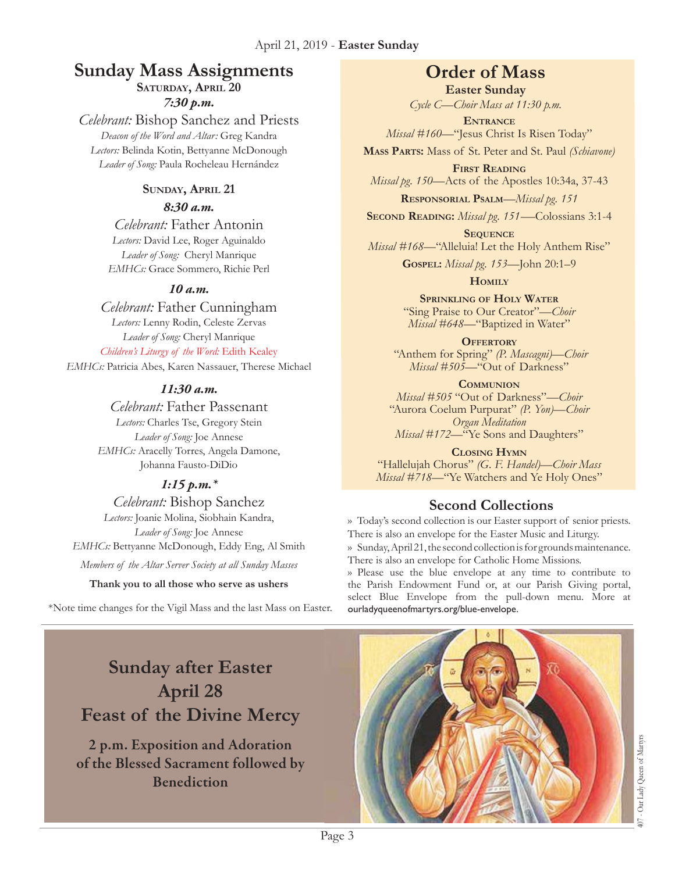#### **Sunday Mass Assignments Order of Mass** SATURDAY, APRIL 20

*7:30 p.m.* 

## *Celebrant:* Bishop Sanchez and Priests

*Deacon of the Word and Altar:* Greg Kandra *Lectors:* Belinda Kotin, Bettyanne McDonough *Leader of Song:* Paula Rocheleau Hernández

#### **Sunday, April 21**

#### *8:30 a.m.*

*Celebrant:* Father Antonin *Lectors:* David Lee, Roger Aguinaldo *Leader of Song:* Cheryl Manrique *EMHCs:* Grace Sommero, Richie Perl

#### *10 a.m.*

#### *Celebrant:* Father Cunningham

*Lectors:* Lenny Rodin, Celeste Zervas *Leader of Song:* Cheryl Manrique *Children's Liturgy of the Word:* Edith Kealey

*EMHCs:* Patricia Abes, Karen Nassauer, Therese Michael

#### *11:30 a.m.*

*Celebrant:* Father Passenant *Lectors:* Charles Tse, Gregory Stein *Leader of Song:* Joe Annese *EMHCs:* Aracelly Torres, Angela Damone, Johanna Fausto-DiDio

## *1:15 p.m.\**

*Celebrant:* Bishop Sanchez *Lectors:* Joanie Molina, Siobhain Kandra, *Leader of Song:* Joe Annese *EMHCs:* Bettyanne McDonough, Eddy Eng, Al Smith *Members of the Altar Server Society at all Sunday Masses*

#### **Thank you to all those who serve as ushers**

\*Note time changes for the Vigil Mass and the last Mass on Easter. ourladyqueenofmartyrs.org/blue-envelope.

**Easter Sunday** *Cycle C—Choir Mass at 11:30 p.m.* 

**Entrance** *Missal #160—*"Jesus Christ Is Risen Today"

**Mass Parts:** Mass of St. Peter and St. Paul *(Schiavone)*

**First Reading** *Missal pg. 150—*Acts of the Apostles 10:34a, 37-43

**Responsorial Psalm**—*Missal pg. 151*

**Second Reading:** *Missal pg. 151-—*Colossians 3:1-4 **Sequence**

*Missal #168*—"Alleluia! Let the Holy Anthem Rise"

**Gospel:** *Missal pg. 153—*John 20:1–9

**Homily**

**Sprinkling of Holy Water** "Sing Praise to Our Creator"—*Choir Missal #648*—"Baptized in Water"

**OFFERTORY** "Anthem for Spring" *(P. Mascagni)—Choir Missal #505—*"Out of Darkness"

**Communion** *Missal #505* "Out of Darkness"*—Choir*

"Aurora Coelum Purpurat" *(P. Yon)—Choir Organ Meditation Missal* #172—"Ye Sons and Daughters"

**Closing Hymn** "Hallelujah Chorus" *(G. F. Handel)—Choir Mass Missal #718—*"Ye Watchers and Ye Holy Ones"

## **Second Collections**

›› Today's second collection is our Easter support of senior priests. There is also an envelope for the Easter Music and Liturgy. ›› Sunday, April 21, the second collection is for grounds maintenance. There is also an envelope for Catholic Home Missions.

›› Please use the blue envelope at any time to contribute to the Parish Endowment Fund or, at our Parish Giving portal, select Blue Envelope from the pull-down menu. More at

## **Sunday after Easter April 28 Feast of the Divine Mercy**

2 p.m. Exposition and Adoration of the Blessed Sacrament followed by Benediction



Page 3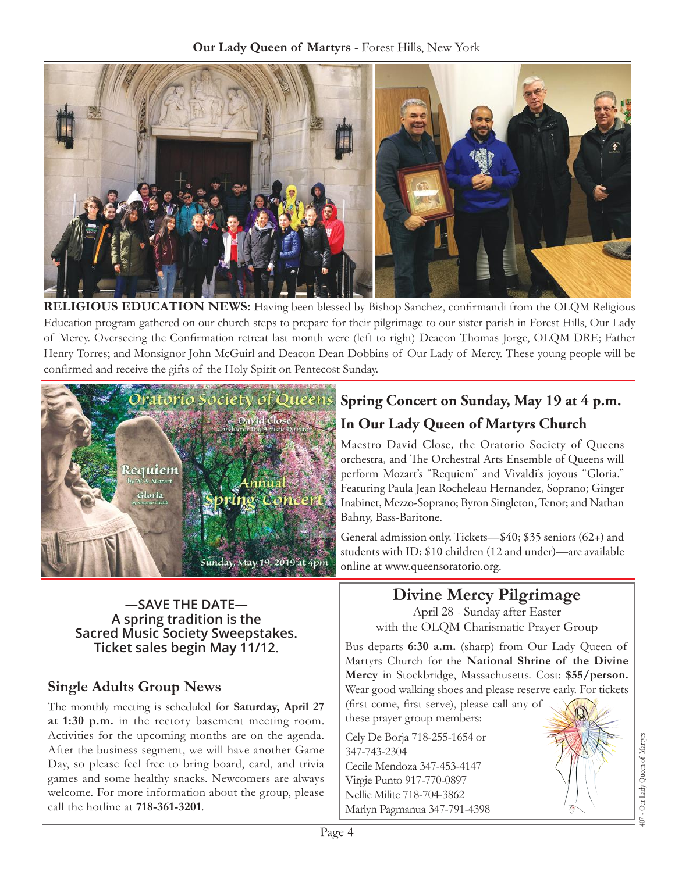

**Religious Education News:** Having been blessed by Bishop Sanchez, confirmandi from the OLQM Religious Education program gathered on our church steps to prepare for their pilgrimage to our sister parish in Forest Hills, Our Lady of Mercy. Overseeing the Confirmation retreat last month were (left to right) Deacon Thomas Jorge, OLQM DRE; Father Henry Torres; and Monsignor John McGuirl and Deacon Dean Dobbins of Our Lady of Mercy. These young people will be confirmed and receive the gifts of the Holy Spirit on Pentecost Sunday.



**—SAVE THE DATE— A spring tradition is the Sacred Music Society Sweepstakes. Ticket sales begin May 11/12.** 

## **Single Adults Group News**

The monthly meeting is scheduled for **Saturday, April 27 at 1:30 p.m.** in the rectory basement meeting room. Activities for the upcoming months are on the agenda. After the business segment, we will have another Game Day, so please feel free to bring board, card, and trivia games and some healthy snacks. Newcomers are always welcome. For more information about the group, please call the hotline at **718-361-3201**.

## **Spring Concert on Sunday, May 19 at 4 p.m. In Our Lady Queen of Martyrs Church**

Maestro David Close, the Oratorio Society of Queens orchestra, and The Orchestral Arts Ensemble of Queens will perform Mozart's "Requiem" and Vivaldi's joyous "Gloria." Featuring Paula Jean Rocheleau Hernandez, Soprano; Ginger Inabinet, Mezzo-Soprano; Byron Singleton, Tenor; and Nathan Bahny, Bass-Baritone.

General admission only. Tickets—\$40; \$35 seniors (62+) and students with ID; \$10 children (12 and under)—are available online at<www.queensoratorio.org>.

## **Divine Mercy Pilgrimage**

April 28 - Sunday after Easter with the OLQM Charismatic Prayer Group

Bus departs **6:30 a.m.** (sharp) from Our Lady Queen of Martyrs Church for the **National Shrine of the Divine Mercy** in Stockbridge, Massachusetts. Cost: **\$55/person.**  Wear good walking shoes and please reserve early. For tickets (first come, first serve), please call any of

these prayer group members:

Cely De Borja 718-255-1654 or 347-743-2304 Cecile Mendoza 347-453-4147 Virgie Punto 917-770-0897 Nellie Milite 718-704-3862 Marlyn Pagmanua 347-791-4398

407 - Our Lady Queen of Martyrs Our Lady Queen of Martyr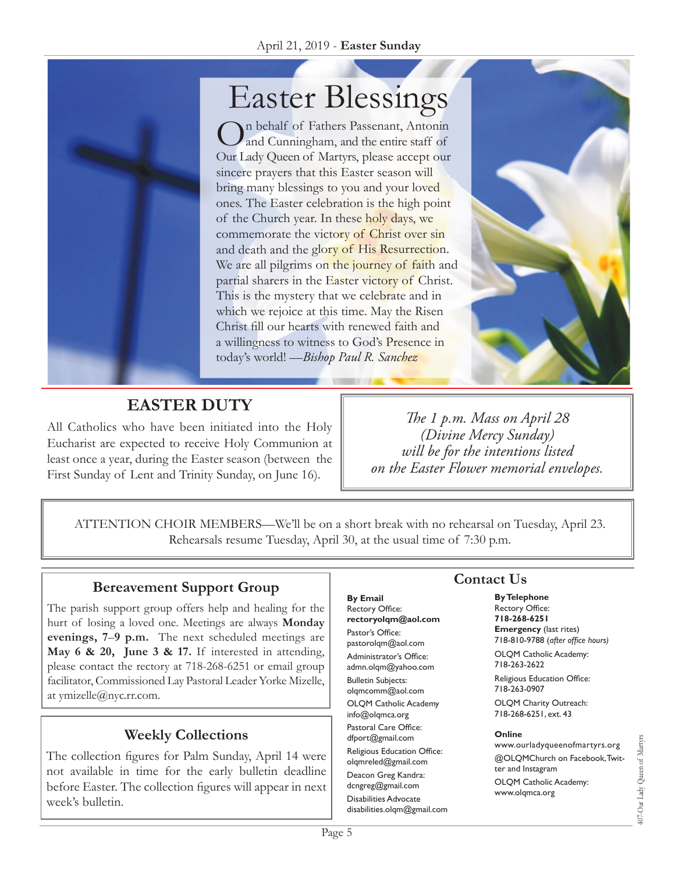# Easter Blessings

On behalf of Fathers Passenant, Antonin and Cunningham, and the entire staff of Our Lady Queen of Martyrs, please accept our sincere prayers that this Easter season will bring many blessings to you and your loved ones. The Easter celebration is the high point of the Church year. In these holy days, we commemorate the victory of Christ over sin and death and the glory of His Resurrection. We are all pilgrims on the journey of faith and partial sharers in the Easter victory of Christ. This is the mystery that we celebrate and in which we rejoice at this time. May the Risen Christ fill our hearts with renewed faith and a willingness to witness to God's Presence in today's world! —*Bishop Paul R. Sanchez*



## **Easter Duty**

All Catholics who have been initiated into the Holy Eucharist are expected to receive Holy Communion at least once a year, during the Easter season (between the First Sunday of Lent and Trinity Sunday, on June 16).

*The 1 p.m. Mass on April 28 (Divine Mercy Sunday) will be for the intentions listed on the Easter Flower memorial envelopes.*

ATTENTION CHOIR MEMBERS—We'll be on a short break with no rehearsal on Tuesday, April 23. Rehearsals resume Tuesday, April 30, at the usual time of 7:30 p.m.

## **Bereavement Support Group**

The parish support group offers help and healing for the hurt of losing a loved one. Meetings are always **Monday evenings, 7**–**9 p.m.** The next scheduled meetings are **May 6 & 20, June 3 & 17.** If interested in attending, please contact the rectory at 718-268-6251 or email group facilitator, Commissioned Lay Pastoral Leader Yorke Mizelle, at [ymizelle@nyc.rr.com](mailto:ymizelle@nyc.rr.com).

## **Weekly Collections**

The collection figures for Palm Sunday, April 14 were not available in time for the early bulletin deadline before Easter. The collection figures will appear in next week's bulletin.

## **Contact Us**

**By Email** Rectory Office: **rectoryolqm@aol.com** Pastor's Office: pastorolqm@aol.com Administrator's Office: admn.olqm@yahoo.com Bulletin Subjects: olqmcomm@aol.com OLQM Catholic Academy info@olqmca.org Pastoral Care Office: dfport@gmail.com Religious Education Office: olqmreled@gmail.com Deacon Greg Kandra: dcngreg@gmail.com Disabilities Advocate [disabilities.olqm@gmail.com](mailto:disabilities.olqm@gmail.com) **By Telephone** Rectory Office: **718-268-6251**

**Emergency** (last rites) 718-810-9788 (*after office hours)*

OLQM Catholic Academy: 718-263-2622

Religious Education Office: 718-263-0907

OLQM Charity Outreach: 718-268-6251, ext. 43

#### **Online**

www.ourladyqueenofmartyrs.org @OLQMChurch on Facebook, Twitter and Instagram OLQM Catholic Academy: www.olqmca.org